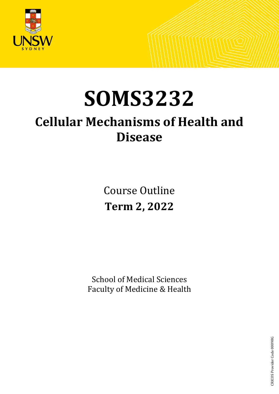

# **SOMS3232**

## **Cellular Mechanisms of Health and Disease**

Course Outline **Term 2, 2022**

School of Medical Sciences Faculty of Medicine & Health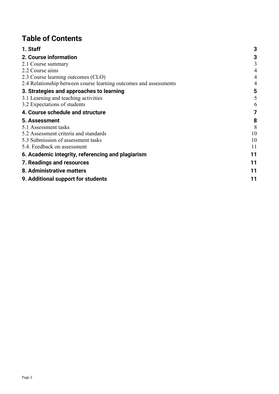## **Table of Contents**

| 1. Staff                                                          | 3  |
|-------------------------------------------------------------------|----|
| 2. Course information                                             | 3  |
| 2.1 Course summary                                                | 3  |
| 2.2 Course aims                                                   | 4  |
| 2.3 Course learning outcomes (CLO)                                | 4  |
| 2.4 Relationship between course learning outcomes and assessments | 4  |
| 3. Strategies and approaches to learning                          | 5  |
| 3.1 Learning and teaching activities                              | 5  |
| 3.2 Expectations of students                                      | 6  |
| 4. Course schedule and structure                                  | 7  |
| 5. Assessment                                                     | 8  |
| 5.1 Assessment tasks                                              | 8  |
| 5.2 Assessment criteria and standards                             | 10 |
| 5.3 Submission of assessment tasks                                | 10 |
| 5.4. Feedback on assessment                                       | 11 |
| 6. Academic integrity, referencing and plagiarism                 | 11 |
| 7. Readings and resources                                         | 11 |
| 8. Administrative matters                                         | 11 |
| 9. Additional support for students                                | 11 |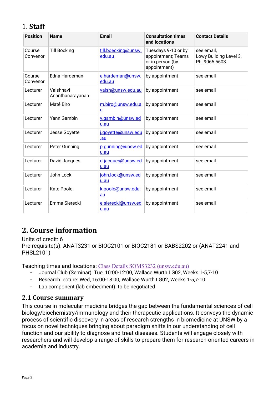## <span id="page-2-0"></span>1. **Staff**

| <b>Position</b>    | <b>Name</b>                   | <b>Email</b>                  | <b>Consultation times</b><br>and locations                                    | <b>Contact Details</b>                                |
|--------------------|-------------------------------|-------------------------------|-------------------------------------------------------------------------------|-------------------------------------------------------|
| Course<br>Convenor | Till Böcking                  | till.boecking@unsw.<br>edu.au | Tuesdays 9-10 or by<br>appointment; Teams<br>or in person (by<br>appointment) | see email,<br>Lowy Building Level 3,<br>Ph: 9065 5603 |
| Course<br>Convenor | Edna Hardeman                 | e.hardeman@unsw.<br>edu.au    | by appointment                                                                | see email                                             |
| Lecturer           | Vaishnavi<br>Ananthanarayanan | vaish@unsw.edu.au             | by appointment                                                                | see email                                             |
| Lecturer           | Maté Biro                     | m.biro@unsw.edu.a<br><u>ប</u> | by appointment                                                                | see email                                             |
| Lecturer           | Yann Gambin                   | y.gambin@unsw.ed<br>u.au      | by appointment                                                                | see email                                             |
| Lecturer           | Jesse Goyette                 | i.govette@unsw.edu<br>.au     | by appointment                                                                | see email                                             |
| Lecturer           | Peter Gunning                 | p.gunning@unsw.ed<br>u.au     | by appointment                                                                | see email                                             |
| Lecturer           | David Jacques                 | d.jacques@unsw.ed<br>u.au     | by appointment                                                                | see email                                             |
| Lecturer           | John Lock                     | john.lock@unsw.ed<br>u.au     | by appointment                                                                | see email                                             |
| Lecturer           | <b>Kate Poole</b>             | k.poole@unsw.edu.<br>au       | by appointment                                                                | see email                                             |
| Lecturer           | Emma Sierecki                 | e.sierecki@unsw.ed<br>u.au    | by appointment                                                                | see email                                             |

## <span id="page-2-1"></span>**2. Course information**

#### Units of credit: 6

Pre-requisite(s): ANAT3231 or BIOC2101 or BIOC2181 or BABS2202 or (ANAT2241 and PHSL2101)

Teaching times and locations: [Class Details SOMS3232 \(unsw.edu.au\)](http://timetable.unsw.edu.au/2022/SOMS3232.html)

- Journal Club (Seminar): Tue, 10:00-12:00, Wallace Wurth LG02, Weeks 1-5,7-10
- Research lecture: Wed, 16:00-18:00, Wallace Wurth LG02, Weeks 1-5,7-10
- Lab component (lab embedment): to be negotiated

#### <span id="page-2-2"></span>**2.1 Course summary**

This course in molecular medicine bridges the gap between the fundamental sciences of cell biology/biochemistry/immunology and their therapeutic applications. It conveys the dynamic process of scientific discovery in areas of research strengths in biomedicine at UNSW by a focus on novel techniques bringing about paradigm shifts in our understanding of cell function and our ability to diagnose and treat diseases. Students will engage closely with researchers and will develop a range of skills to prepare them for research-oriented careers in academia and industry.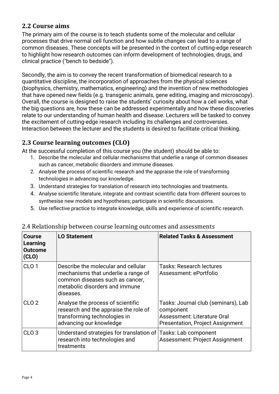#### <span id="page-3-0"></span>**2.2 Course aims**

The primary aim of the course is to teach students some of the molecular and cellular processes that drive normal cell function and how subtle changes can lead to a range of common diseases. These concepts will be presented in the context of cutting-edge research to highlight how research outcomes can inform development of technologies, drugs, and clinical practice ("bench to bedside").

Secondly, the aim is to convey the recent transformation of biomedical research to a quantitative discipline, the incorporation of approaches from the physical sciences (biophysics, chemistry, mathematics, engineering) and the invention of new methodologies that have opened new fields (e.g. transgenic animals, gene editing, imaging and microscopy). Overall, the course is designed to raise the students' curiosity about how a cell works, what the big questions are, how these can be addressed experimentally and how these discoveries relate to our understanding of human health and disease. Lecturers will be tasked to convey the excitement of cutting-edge research including its challenges and controversies. Interaction between the lecturer and the students is desired to facilitate critical thinking.

#### <span id="page-3-1"></span>**2.3 Course learning outcomes (CLO)**

At the successful completion of this course you (the student) should be able to:

- 1. Describe the molecular and cellular mechanisms that underlie a range of common diseases such as cancer, metabolic disorders and immune diseases.
- 2. Analyse the process of scientific research and the appraise the role of transforming technologies in advancing our knowledge.
- 3. Understand strategies for translation of research into technologies and treatments.
- 4. Analyse scientific literature, integrate and contrast scientific data from different sources to synthesise new models and hypotheses; participate in scientific discussions.
- 5. Use reflective practice to integrate knowledge, skills and experience of scientific research.

| Course<br>Learning<br>Outcome<br>(CLO) | <b>LO Statement</b>                                                                                                                                          | <b>Related Tasks &amp; Assessment</b>                                                                                             |
|----------------------------------------|--------------------------------------------------------------------------------------------------------------------------------------------------------------|-----------------------------------------------------------------------------------------------------------------------------------|
| CLO <sub>1</sub>                       | Describe the molecular and cellular<br>mechanisms that underlie a range of<br>common diseases such as cancer,<br>metabolic disorders and immune<br>diseases. | <b>Tasks: Research lectures</b><br>Assessment: ePortfolio                                                                         |
| CLO <sub>2</sub>                       | Analyse the process of scientific<br>research and the appraise the role of<br>transforming technologies in<br>advancing our knowledge                        | Tasks: Journal club (seminars), Lab<br>component<br><b>Assessment: Literature Oral</b><br><b>Presentation, Project Assignment</b> |
| CLO <sub>3</sub>                       | Understand strategies for translation of Tasks: Lab component<br>research into technologies and<br>treatments                                                | <b>Assessment: Project Assignment</b>                                                                                             |

#### <span id="page-3-2"></span>2.4 Relationship between course learning outcomes and assessments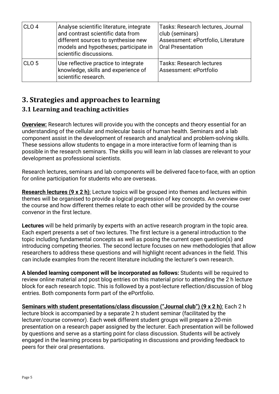| CLO <sub>4</sub> | Analyse scientific literature, integrate<br>and contrast scientific data from<br>different sources to synthesise new<br>models and hypotheses; participate in<br>scientific discussions. | Tasks: Research lectures, Journal<br>club (seminars)<br>Assessment: ePortfolio, Literature<br><b>Oral Presentation</b> |
|------------------|------------------------------------------------------------------------------------------------------------------------------------------------------------------------------------------|------------------------------------------------------------------------------------------------------------------------|
| CLO <sub>5</sub> | Use reflective practice to integrate<br>knowledge, skills and experience of<br>scientific research.                                                                                      | <b>Tasks: Research lectures</b><br>Assessment: ePortfolio                                                              |

## <span id="page-4-0"></span>**3. Strategies and approaches to learning**

#### <span id="page-4-1"></span>**3.1 Learning and teaching activities**

**Overview:** Research lectures will provide you with the concepts and theory essential for an understanding of the cellular and molecular basis of human health. Seminars and a lab component assist in the development of research and analytical and problem-solving skills. These sessions allow students to engage in a more interactive form of learning than is possible in the research seminars. The skills you will learn in lab classes are relevant to your development as professional scientists.

Research lectures, seminars and lab components will be delivered face-to-face, with an option for online participation for students who are overseas.

**Research lectures (9 x 2 h)**: Lecture topics will be grouped into themes and lectures within themes will be organised to provide a logical progression of key concepts. An overview over the course and how different themes relate to each other will be provided by the course convenor in the first lecture.

**Lectures** will be held primarily by experts with an active research program in the topic area. Each expert presents a set of two lectures. The first lecture is a general introduction to the topic including fundamental concepts as well as posing the current open question(s) and introducing competing theories. The second lecture focuses on new methodologies that allow researchers to address these questions and will highlight recent advances in the field. This can include examples from the recent literature including the lecturer's own research.

**A blended learning component will be incorporated as follows:** Students will be required to review online material and post blog entries on this material prior to attending the 2 h lecture block for each research topic. This is followed by a post-lecture reflection/discussion of blog entries. Both components form part of the ePortfolio.

**Seminars with student presentations/class discussion ("Journal club") (9 x 2 h)**: Each 2 h lecture block is accompanied by a separate 2 h student seminar (facilitated by the lecturer/course convenor). Each week different student groups will prepare a 20-min presentation on a research paper assigned by the lecturer. Each presentation will be followed by questions and serve as a starting point for class discussion. Students will be actively engaged in the learning process by participating in discussions and providing feedback to peers for their oral presentations.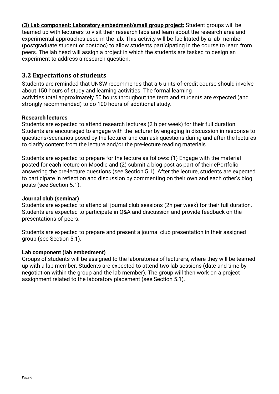**(3) Lab component: Laboratory embedment/small group project:** Student groups will be teamed up with lecturers to visit their research labs and learn about the research area and experimental approaches used in the lab. This activity will be facilitated by a lab member (postgraduate student or postdoc) to allow students participating in the course to learn from peers. The lab head will assign a project in which the students are tasked to design an experiment to address a research question.

#### <span id="page-5-0"></span>**3.2 Expectations of students**

Students are reminded that UNSW recommends that a 6 units-of-credit course should involve about 150 hours of study and learning activities. The formal learning activities total approximately 50 hours throughout the term and students are expected (and strongly recommended) to do 100 hours of additional study.

#### **Research lectures**

Students are expected to attend research lectures (2 h per week) for their full duration. Students are encouraged to engage with the lecturer by engaging in discussion in response to questions/scenarios posed by the lecturer and can ask questions during and after the lectures to clarify content from the lecture and/or the pre-lecture reading materials.

Students are expected to prepare for the lecture as follows: (1) Engage with the material posted for each lecture on Moodle and (2) submit a blog post as part of their ePortfolio answering the pre-lecture questions (see Section 5.1). After the lecture, students are expected to participate in reflection and discussion by commenting on their own and each other's blog posts (see Section 5.1).

#### **Journal club (seminar)**

Students are expected to attend all journal club sessions (2h per week) for their full duration. Students are expected to participate in Q&A and discussion and provide feedback on the presentations of peers.

Students are expected to prepare and present a journal club presentation in their assigned group (see Section 5.1).

#### **Lab component (lab embedment)**

Groups of students will be assigned to the laboratories of lecturers, where they will be teamed up with a lab member. Students are expected to attend two lab sessions (date and time by negotiation within the group and the lab member). The group will then work on a project assignment related to the laboratory placement (see Section 5.1).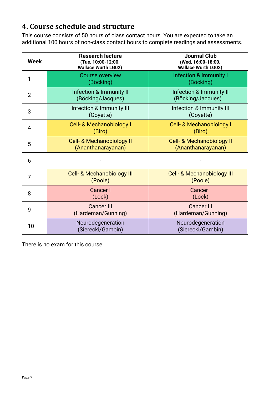## <span id="page-6-0"></span>**4. Course schedule and structure**

This course consists of 50 hours of class contact hours. You are expected to take an additional 100 hours of non-class contact hours to complete readings and assessments.

| Week           | <b>Research lecture</b><br>(Tue, 10:00-12:00,<br><b>Wallace Wurth LG02)</b> | <b>Journal Club</b><br>(Wed, 16:00-18:00,<br><b>Wallace Wurth LG02)</b> |
|----------------|-----------------------------------------------------------------------------|-------------------------------------------------------------------------|
| 1              | <b>Course overview</b><br>(Böcking)                                         | Infection & Immunity I<br>(Böcking)                                     |
| $\overline{2}$ | Infection & Immunity II<br>(Böcking/Jacques)                                | <b>Infection &amp; Immunity II</b><br>(Böcking/Jacques)                 |
| 3              | Infection & Immunity III<br>(Goyette)                                       | Infection & Immunity III<br>(Goyette)                                   |
| 4              | <b>Cell- &amp; Mechanobiology I</b><br>(Biro)                               | Cell- & Mechanobiology I<br>(Biro)                                      |
| 5              | Cell- & Mechanobiology II<br>(Ananthanarayanan)                             | <b>Cell- &amp; Mechanobiology II</b><br>(Ananthanarayanan)              |
| 6              |                                                                             |                                                                         |
| 7              | <b>Cell- &amp; Mechanobiology III</b><br>(Poole)                            | <b>Cell- &amp; Mechanobiology III</b><br>(Poole)                        |
| 8              | <b>Cancer I</b><br>(Lock)                                                   | <b>Cancer I</b><br>(Lock)                                               |
| 9              | <b>Cancer III</b><br>(Hardeman/Gunning)                                     | <b>Cancer III</b><br>(Hardeman/Gunning)                                 |
| 10             | Neurodegeneration<br>(Sierecki/Gambin)                                      | Neurodegeneration<br>(Sierecki/Gambin)                                  |

There is no exam for this course.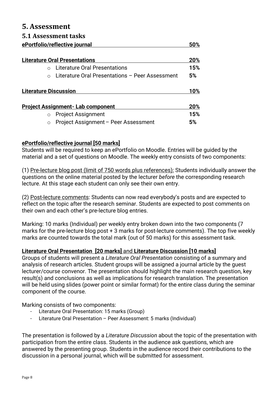#### <span id="page-7-0"></span>**5. Assessment**

#### <span id="page-7-1"></span>**5.1 Assessment tasks**

|                              | ePortfolio/reflective journal                   | 50% |
|------------------------------|-------------------------------------------------|-----|
|                              | <b>Literature Oral Presentations</b>            | 20% |
|                              | Literature Oral Presentations                   | 15% |
|                              | Literature Oral Presentations - Peer Assessment | 5%  |
| <b>Literature Discussion</b> |                                                 | 10% |
|                              | <b>Project Assignment- Lab component</b>        | 20% |
| $\circ$                      | <b>Project Assignment</b>                       | 15% |
| $\circ$                      | Project Assignment - Peer Assessment            | 5%  |

#### **ePortfolio/reflective journal [50 marks]**

Students will be required to keep an ePortfolio on Moodle. Entries will be guided by the material and a set of questions on Moodle. The weekly entry consists of two components:

(1) Pre-lecture blog post (limit of 750 words plus references): Students individually answer the questions on the online material posted by the lecturer *before* the corresponding research lecture. At this stage each student can only see their own entry.

(2) Post-lecture comments: Students can now read everybody's posts and are expected to reflect on the topic after the research seminar. Students are expected to post comments on their own and each other's pre-lecture blog entries.

Marking: 10 marks (Individual) per weekly entry broken down into the two components (7 marks for the pre-lecture blog post + 3 marks for post-lecture comments). The top five weekly marks are counted towards the total mark (out of 50 marks) for this assessment task.

#### **Literature Oral Presentation [20 marks]** and **Literature Discussion [10 marks]**

Groups of students will present a *Literature Oral Presentation* consisting of a summary and analysis of research articles. Student groups will be assigned a journal article by the guest lecturer/course convenor. The presentation should highlight the main research question, key result(s) and conclusions as well as implications for research translation. The presentation will be held using slides (power point or similar format) for the entire class during the seminar component of the course.

Marking consists of two components:

- Literature Oral Presentation: 15 marks (Group)
- Literature Oral Presentation Peer Assessment: 5 marks (Individual)

The presentation is followed by a *Literature Discussion* about the topic of the presentation with participation from the entire class. Students in the audience ask questions, which are answered by the presenting group. Students in the audience record their contributions to the discussion in a personal journal, which will be submitted for assessment.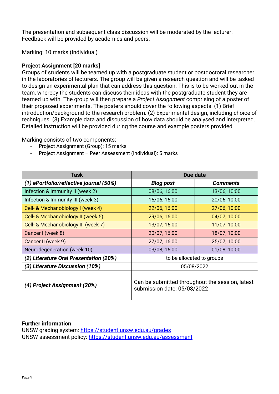The presentation and subsequent class discussion will be moderated by the lecturer. Feedback will be provided by academics and peers.

Marking: 10 marks (Individual)

#### **Project Assignment [20 marks]**

Groups of students will be teamed up with a postgraduate student or postdoctoral researcher in the laboratories of lecturers. The group will be given a research question and will be tasked to design an experimental plan that can address this question. This is to be worked out in the team, whereby the students can discuss their ideas with the postgraduate student they are teamed up with. The group will then prepare a *Project Assignment* comprising of a poster of their proposed experiments. The posters should cover the following aspects: (1) Brief introduction/background to the research problem. (2) Experimental design, including choice of techniques. (3) Example data and discussion of how data should be analysed and interpreted. Detailed instruction will be provided during the course and example posters provided.

Marking consists of two components:

- Project Assignment (Group): 15 marks
- Project Assignment Peer Assessment (Individual): 5 marks

| Task                                    | Due date                                                                       |                 |
|-----------------------------------------|--------------------------------------------------------------------------------|-----------------|
| (1) ePortfolio/reflective journal (50%) | <b>Blog post</b>                                                               | <b>Comments</b> |
| Infection & Immunity II (week 2)        | 08/06, 16:00                                                                   | 13/06, 10:00    |
| Infection & Immunity III (week 3)       | 15/06, 16:00                                                                   | 20/06, 10:00    |
| Cell- & Mechanobiology I (week 4)       | 22/06, 16:00                                                                   | 27/06, 10:00    |
| Cell- & Mechanobiology II (week 5)      | 29/06, 16:00                                                                   | 04/07, 10:00    |
| Cell- & Mechanobiology III (week 7)     | 13/07, 16:00                                                                   | 11/07, 10:00    |
| Cancer I (week 8)                       | 20/07, 16:00                                                                   | 18/07, 10:00    |
| Cancer II (week 9)                      | 27/07, 16:00                                                                   | 25/07, 10:00    |
| Neurodegeneration (week 10)             | 03/08, 16:00                                                                   | 01/08, 10:00    |
| (2) Literature Oral Presentation (20%)  | to be allocated to groups                                                      |                 |
| (3) Literature Discussion (10%)         | 05/08/2022                                                                     |                 |
| (4) Project Assignment (20%)            | Can be submitted throughout the session, latest<br>submission date: 05/08/2022 |                 |

#### **Further information**

UNSW grading system:<https://student.unsw.edu.au/grades> UNSW assessment policy:<https://student.unsw.edu.au/assessment>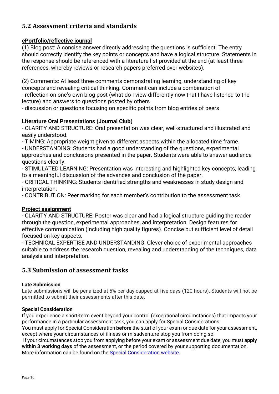#### <span id="page-9-0"></span>**5.2 Assessment criteria and standards**

#### **ePortfolio/reflective journal**

(1) Blog post: A concise answer directly addressing the questions is sufficient. The entry should correctly identify the key points or concepts and have a logical structure. Statements in the response should be referenced with a literature list provided at the end (at least three references, whereby reviews or research papers preferred over websites).

(2) Comments: At least three comments demonstrating learning, understanding of key concepts and revealing critical thinking. Comment can include a combination of - reflection on one's own blog post (what do I view differently now that I have listened to the lecture) and answers to questions posted by others

- discussion or questions focusing on specific points from blog entries of peers

#### **Literature Oral Presentations (Journal Club)**

- CLARITY AND STRUCTURE: Oral presentation was clear, well-structured and illustrated and easily understood.

- TIMING: Appropriate weight given to different aspects within the allocated time frame.

- UNDERSTANDING: Students had a good understanding of the questions, experimental approaches and conclusions presented in the paper. Students were able to answer audience questions clearly.

- STIMULATED LEARNING: Presentation was interesting and highlighted key concepts, leading to a meaningful discussion of the advances and conclusion of the paper.

- CRITICAL THINKING: Students identified strengths and weaknesses in study design and interpretation.

- CONTRIBUTION: Peer marking for each member's contribution to the assessment task.

#### **Project assignment**

- CLARITY AND STRUCTURE: Poster was clear and had a logical structure guiding the reader through the question, experimental approaches, and interpretation. Design features for effective communication (including high quality figures). Concise but sufficient level of detail focused on key aspects.

- TECHNICAL EXPERTISE AND UNDERSTANDING: Clever choice of experimental approaches suitable to address the research question, revealing and understanding of the techniques, data analysis and interpretation.

#### <span id="page-9-1"></span>**5.3 Submission of assessment tasks**

#### **Late Submission**

Late submissions will be penalized at 5% per day capped at five days (120 hours). Students will not be permitted to submit their assessments after this date.

#### **Special Consideration**

If you experience a short-term event beyond your control (exceptional circumstances) that impacts your performance in a particular assessment task, you can apply for Special Considerations.

You must apply for Special Consideration **before** the start of your exam or due date for your assessment, except where your circumstances of illness or misadventure stop you from doing so.

If your circumstances stop you from applying before your exam or assessment due date, you must **apply within 3 working days** of the assessment, or the period covered by your supporting documentation. More information can be found on the [Special Consideration website.](https://www.student.unsw.edu.au/special-consideration)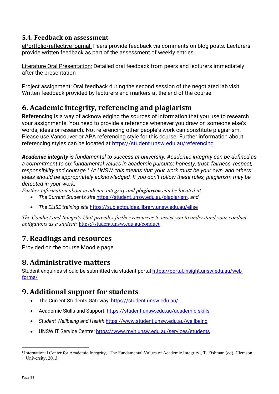#### <span id="page-10-0"></span>**5.4. Feedback on assessment**

ePortfolio/reflective journal: Peers provide feedback via comments on blog posts. Lecturers provide written feedback as part of the assessment of weekly entries.

Literature Oral Presentation: Detailed oral feedback from peers and lecturers immediately after the presentation

Project assignment: Oral feedback during the second session of the negotiated lab visit. Written feedback provided by lecturers and markers at the end of the course.

## <span id="page-10-1"></span>**6. Academic integrity, referencing and plagiarism**

**Referencing** is a way of acknowledging the sources of information that you use to research your assignments. You need to provide a reference whenever you draw on someone else's words, ideas or research. Not referencing other people's work can constitute plagiarism. Please use Vancouver or APA referencing style for this course. Further information about referencing styles can be located at<https://student.unsw.edu.au/referencing>

*Academic integrity is fundamental to success at university. Academic integrity can be defined as a commitment to six fundamental values in academic pursuits: honesty, trust, fairness, respect, responsibility and courage.*[1](#page-10-5) *At UNSW, this means that your work must be your own, and others' ideas should be appropriately acknowledged. If you don't follow these rules, plagiarism may be detected in your work.* 

*Further information about academic integrity and plagiarism can be located at:*

- *The Current Students site* <https://student.unsw.edu.au/plagiarism>*, and*
- *The ELISE training site* <https://subjectguides.library.unsw.edu.au/elise>

*The Conduct and Integrity Unit provides further resources to assist you to understand your conduct obligations as a student:* <https://student.unsw.edu.au/conduct>*.*

## <span id="page-10-2"></span>**7. Readings and resources**

Provided on the course Moodle page.

### <span id="page-10-3"></span>**8. Administrative matters**

Student enquiries should be submitted via student portal [https://portal.insight.unsw.edu.au/web](https://portal.insight.unsw.edu.au/web-forms/)[forms/](https://portal.insight.unsw.edu.au/web-forms/)

## <span id="page-10-4"></span>**9. Additional support for students**

- The Current Students Gateway:<https://student.unsw.edu.au/>
- Academic Skills and Support:<https://student.unsw.edu.au/academic-skills>
- *Student Wellbeing and Health* <https://www.student.unsw.edu.au/wellbeing>
- UNSW IT Service Centre:<https://www.myit.unsw.edu.au/services/students>

<span id="page-10-5"></span><sup>1</sup> International Center for Academic Integrity, 'The Fundamental Values of Academic Integrity', T. Fishman (ed), Clemson University, 2013.